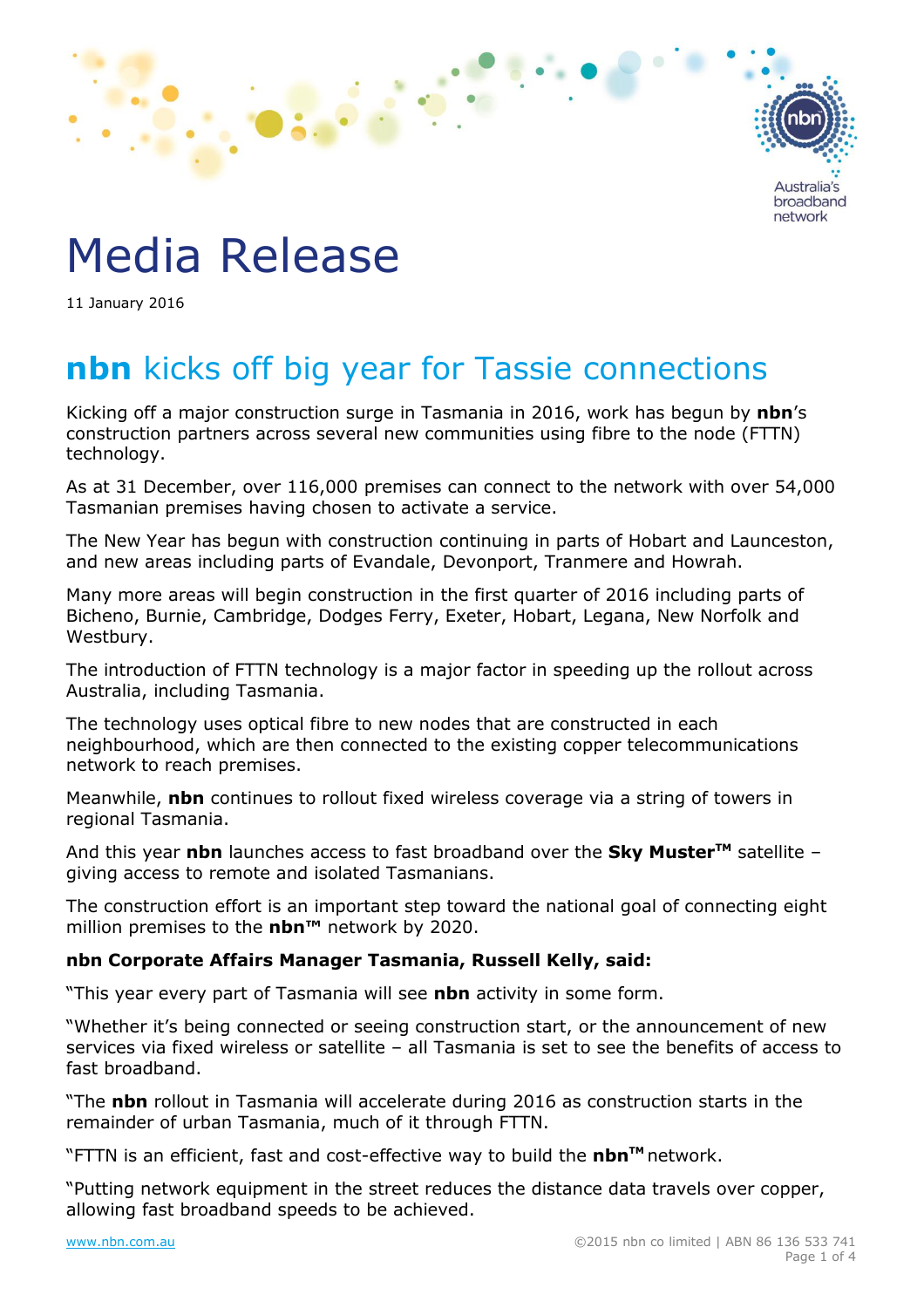

# Media Release

11 January 2016

## **nbn** kicks off big year for Tassie connections

Kicking off a major construction surge in Tasmania in 2016, work has begun by **nbn**'s construction partners across several new communities using fibre to the node (FTTN) technology.

As at 31 December, over 116,000 premises can connect to the network with over 54,000 Tasmanian premises having chosen to activate a service.

The New Year has begun with construction continuing in parts of Hobart and Launceston, and new areas including parts of Evandale, Devonport, Tranmere and Howrah.

Many more areas will begin construction in the first quarter of 2016 including parts of Bicheno, Burnie, Cambridge, Dodges Ferry, Exeter, Hobart, Legana, New Norfolk and Westbury.

The introduction of FTTN technology is a major factor in speeding up the rollout across Australia, including Tasmania.

The technology uses optical fibre to new nodes that are constructed in each neighbourhood, which are then connected to the existing copper telecommunications network to reach premises.

Meanwhile, **nbn** continues to rollout fixed wireless coverage via a string of towers in regional Tasmania.

And this year **nbn** launches access to fast broadband over the **Sky MusterTM** satellite – giving access to remote and isolated Tasmanians.

The construction effort is an important step toward the national goal of connecting eight million premises to the **nbn™** network by 2020.

## **nbn Corporate Affairs Manager Tasmania, Russell Kelly, said:**

"This year every part of Tasmania will see **nbn** activity in some form.

"Whether it's being connected or seeing construction start, or the announcement of new services via fixed wireless or satellite – all Tasmania is set to see the benefits of access to fast broadband.

"The **nbn** rollout in Tasmania will accelerate during 2016 as construction starts in the remainder of urban Tasmania, much of it through FTTN.

"FTTN is an efficient, fast and cost-effective way to build the **nbnTM** network.

"Putting network equipment in the street reduces the distance data travels over copper, allowing fast broadband speeds to be achieved.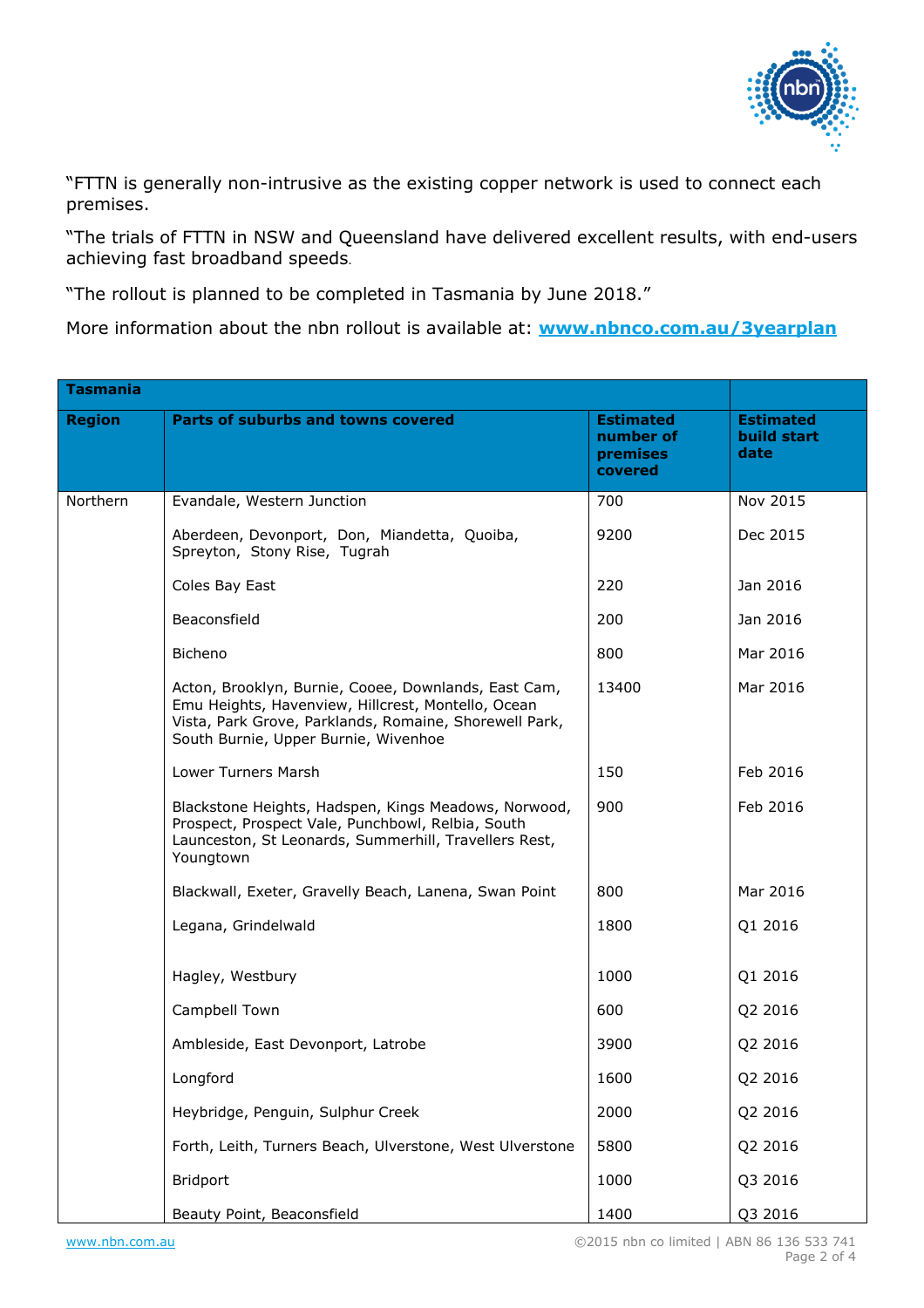

"FTTN is generally non-intrusive as the existing copper network is used to connect each premises.

"The trials of FTTN in NSW and Queensland have delivered excellent results, with end-users achieving fast broadband speeds.

"The rollout is planned to be completed in Tasmania by June 2018."

More information about the nbn rollout is available at: **[www.nbnco.com.au/](http://www.nbnco.com.au/3yearplan)3yearplan**

| <b>Tasmania</b> |                                                                                                                                                                                                              |                                                      |                                         |  |
|-----------------|--------------------------------------------------------------------------------------------------------------------------------------------------------------------------------------------------------------|------------------------------------------------------|-----------------------------------------|--|
| <b>Region</b>   | <b>Parts of suburbs and towns covered</b>                                                                                                                                                                    | <b>Estimated</b><br>number of<br>premises<br>covered | <b>Estimated</b><br>build start<br>date |  |
| Northern        | Evandale, Western Junction                                                                                                                                                                                   | 700                                                  | Nov 2015                                |  |
|                 | Aberdeen, Devonport, Don, Miandetta, Quoiba,<br>Spreyton, Stony Rise, Tugrah                                                                                                                                 | 9200                                                 | Dec 2015                                |  |
|                 | Coles Bay East                                                                                                                                                                                               | 220                                                  | Jan 2016                                |  |
|                 | Beaconsfield                                                                                                                                                                                                 | 200                                                  | Jan 2016                                |  |
|                 | Bicheno                                                                                                                                                                                                      | 800                                                  | Mar 2016                                |  |
|                 | Acton, Brooklyn, Burnie, Cooee, Downlands, East Cam,<br>Emu Heights, Havenview, Hillcrest, Montello, Ocean<br>Vista, Park Grove, Parklands, Romaine, Shorewell Park,<br>South Burnie, Upper Burnie, Wivenhoe | 13400                                                | Mar 2016                                |  |
|                 | Lower Turners Marsh                                                                                                                                                                                          | 150                                                  | Feb 2016                                |  |
|                 | Blackstone Heights, Hadspen, Kings Meadows, Norwood,<br>Prospect, Prospect Vale, Punchbowl, Relbia, South<br>Launceston, St Leonards, Summerhill, Travellers Rest,<br>Youngtown                              | 900                                                  | Feb 2016                                |  |
|                 | Blackwall, Exeter, Gravelly Beach, Lanena, Swan Point                                                                                                                                                        | 800                                                  | Mar 2016                                |  |
|                 | Legana, Grindelwald                                                                                                                                                                                          | 1800                                                 | Q1 2016                                 |  |
|                 | Hagley, Westbury                                                                                                                                                                                             | 1000                                                 | Q1 2016                                 |  |
|                 | Campbell Town                                                                                                                                                                                                | 600                                                  | Q2 2016                                 |  |
|                 | Ambleside, East Devonport, Latrobe                                                                                                                                                                           | 3900                                                 | Q2 2016                                 |  |
|                 | Longford                                                                                                                                                                                                     | 1600                                                 | Q2 2016                                 |  |
|                 | Heybridge, Penguin, Sulphur Creek                                                                                                                                                                            | 2000                                                 | Q2 2016                                 |  |
|                 | Forth, Leith, Turners Beach, Ulverstone, West Ulverstone                                                                                                                                                     | 5800                                                 | Q2 2016                                 |  |
|                 | <b>Bridport</b>                                                                                                                                                                                              | 1000                                                 | Q3 2016                                 |  |
|                 | Beauty Point, Beaconsfield                                                                                                                                                                                   | 1400                                                 | Q3 2016                                 |  |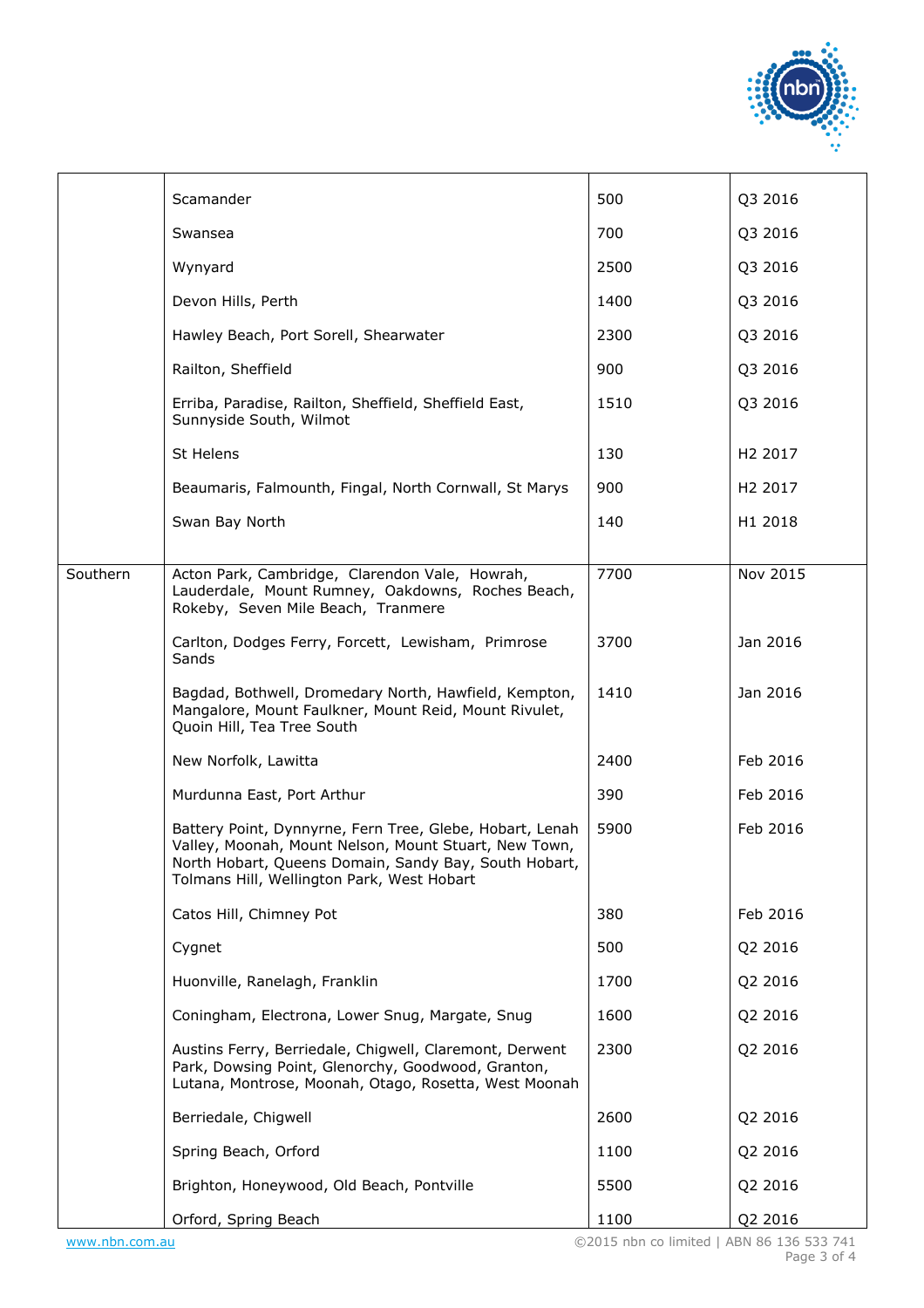

|          | Scamander                                                                                                                                                                                                                | 500  | Q3 2016             |
|----------|--------------------------------------------------------------------------------------------------------------------------------------------------------------------------------------------------------------------------|------|---------------------|
|          | Swansea                                                                                                                                                                                                                  | 700  | Q3 2016             |
|          | Wynyard                                                                                                                                                                                                                  | 2500 | Q3 2016             |
|          | Devon Hills, Perth                                                                                                                                                                                                       | 1400 | Q3 2016             |
|          | Hawley Beach, Port Sorell, Shearwater                                                                                                                                                                                    | 2300 | Q3 2016             |
|          | Railton, Sheffield                                                                                                                                                                                                       | 900  | Q3 2016             |
|          | Erriba, Paradise, Railton, Sheffield, Sheffield East,<br>Sunnyside South, Wilmot                                                                                                                                         | 1510 | Q3 2016             |
|          | St Helens                                                                                                                                                                                                                | 130  | H <sub>2</sub> 2017 |
|          | Beaumaris, Falmounth, Fingal, North Cornwall, St Marys                                                                                                                                                                   | 900  | H <sub>2</sub> 2017 |
|          | Swan Bay North                                                                                                                                                                                                           | 140  | H1 2018             |
|          |                                                                                                                                                                                                                          |      |                     |
| Southern | Acton Park, Cambridge, Clarendon Vale, Howrah,<br>Lauderdale, Mount Rumney, Oakdowns, Roches Beach,<br>Rokeby, Seven Mile Beach, Tranmere                                                                                | 7700 | Nov 2015            |
|          | Carlton, Dodges Ferry, Forcett, Lewisham, Primrose<br>Sands                                                                                                                                                              | 3700 | Jan 2016            |
|          | Bagdad, Bothwell, Dromedary North, Hawfield, Kempton,<br>Mangalore, Mount Faulkner, Mount Reid, Mount Rivulet,<br>Quoin Hill, Tea Tree South                                                                             | 1410 | Jan 2016            |
|          | New Norfolk, Lawitta                                                                                                                                                                                                     | 2400 | Feb 2016            |
|          | Murdunna East, Port Arthur                                                                                                                                                                                               | 390  | Feb 2016            |
|          | Battery Point, Dynnyrne, Fern Tree, Glebe, Hobart, Lenah<br>Valley, Moonah, Mount Nelson, Mount Stuart, New Town,<br>North Hobart, Queens Domain, Sandy Bay, South Hobart,<br>Tolmans Hill, Wellington Park, West Hobart | 5900 | Feb 2016            |
|          | Catos Hill, Chimney Pot                                                                                                                                                                                                  | 380  | Feb 2016            |
|          | Cygnet                                                                                                                                                                                                                   | 500  | Q2 2016             |
|          | Huonville, Ranelagh, Franklin                                                                                                                                                                                            | 1700 | Q2 2016             |
|          | Coningham, Electrona, Lower Snug, Margate, Snug                                                                                                                                                                          | 1600 | Q2 2016             |
|          | Austins Ferry, Berriedale, Chigwell, Claremont, Derwent<br>Park, Dowsing Point, Glenorchy, Goodwood, Granton,<br>Lutana, Montrose, Moonah, Otago, Rosetta, West Moonah                                                   | 2300 | Q2 2016             |
|          | Berriedale, Chigwell                                                                                                                                                                                                     | 2600 | Q2 2016             |
|          | Spring Beach, Orford                                                                                                                                                                                                     | 1100 | Q2 2016             |
|          | Brighton, Honeywood, Old Beach, Pontville                                                                                                                                                                                | 5500 | Q2 2016             |
|          | Orford, Spring Beach                                                                                                                                                                                                     | 1100 | Q2 2016             |